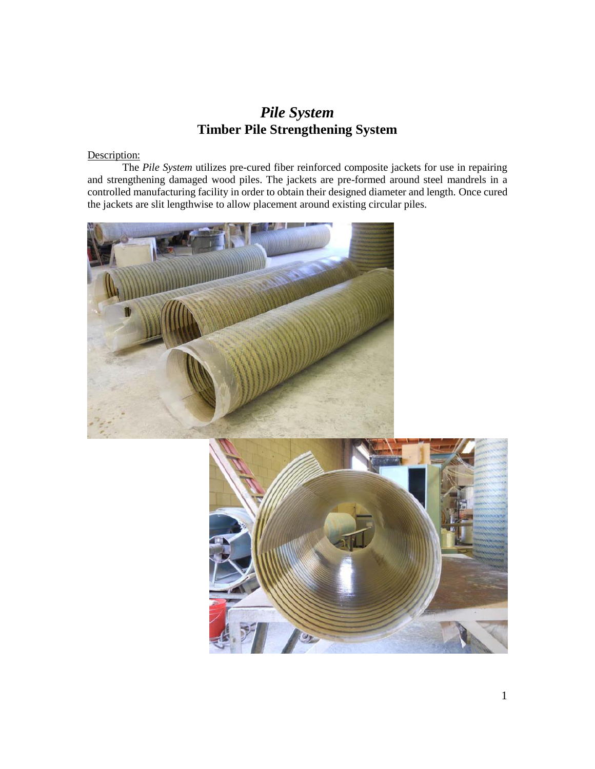# *Pile System* **Timber Pile Strengthening System**

## Description:

The *Pile System* utilizes pre-cured fiber reinforced composite jackets for use in repairing and strengthening damaged wood piles. The jackets are pre-formed around steel mandrels in a controlled manufacturing facility in order to obtain their designed diameter and length. Once cured the jackets are slit lengthwise to allow placement around existing circular piles.



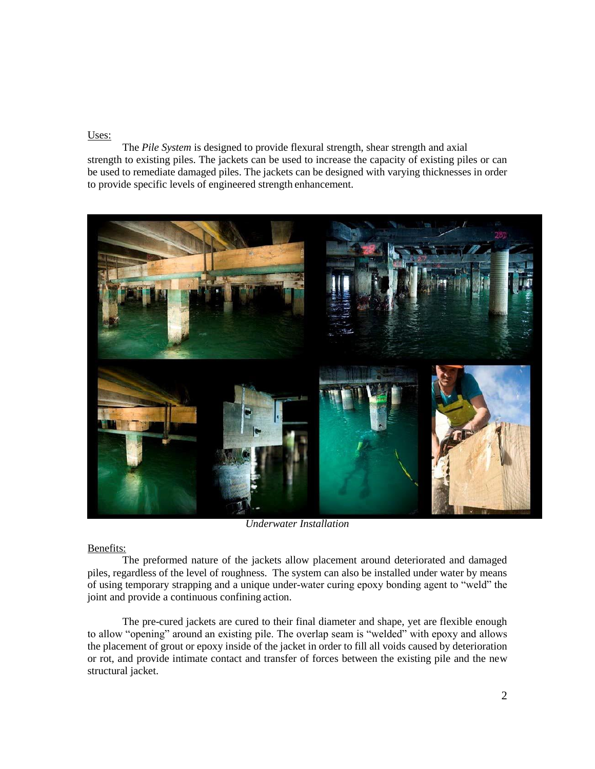#### Uses:

The *Pile System* is designed to provide flexural strength, shear strength and axial strength to existing piles. The jackets can be used to increase the capacity of existing piles or can be used to remediate damaged piles. The jackets can be designed with varying thicknesses in order to provide specific levels of engineered strength enhancement.



*Underwater Installation*

#### Benefits:

The preformed nature of the jackets allow placement around deteriorated and damaged piles, regardless of the level of roughness. The system can also be installed under water by means of using temporary strapping and a unique under-water curing epoxy bonding agent to "weld" the joint and provide a continuous confining action.

The pre-cured jackets are cured to their final diameter and shape, yet are flexible enough to allow "opening" around an existing pile. The overlap seam is "welded" with epoxy and allows the placement of grout or epoxy inside of the jacket in order to fill all voids caused by deterioration or rot, and provide intimate contact and transfer of forces between the existing pile and the new structural jacket.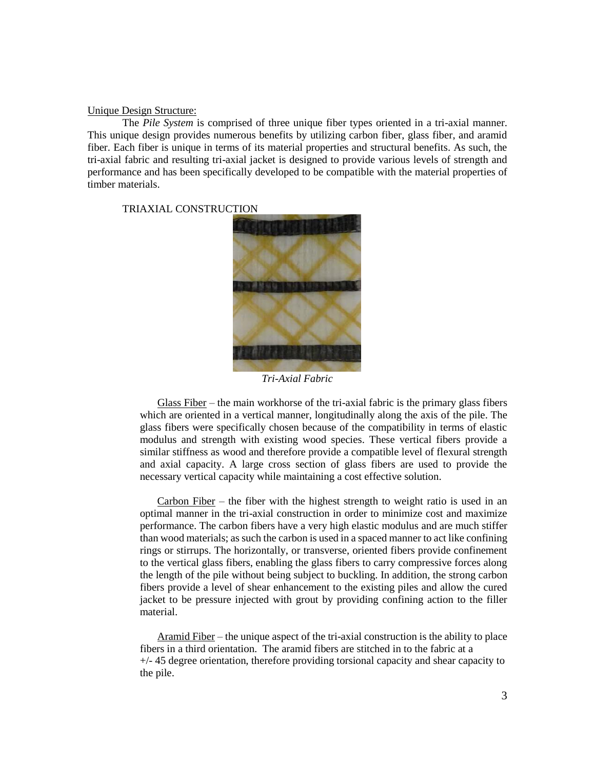#### Unique Design Structure:

The *Pile System* is comprised of three unique fiber types oriented in a tri-axial manner. This unique design provides numerous benefits by utilizing carbon fiber, glass fiber, and aramid fiber. Each fiber is unique in terms of its material properties and structural benefits. As such, the tri-axial fabric and resulting tri-axial jacket is designed to provide various levels of strength and performance and has been specifically developed to be compatible with the material properties of timber materials.

TRIAXIAL CONSTRUCTION



*Tri-Axial Fabric*

Glass Fiber – the main workhorse of the tri-axial fabric is the primary glass fibers which are oriented in a vertical manner, longitudinally along the axis of the pile. The glass fibers were specifically chosen because of the compatibility in terms of elastic modulus and strength with existing wood species. These vertical fibers provide a similar stiffness as wood and therefore provide a compatible level of flexural strength and axial capacity. A large cross section of glass fibers are used to provide the necessary vertical capacity while maintaining a cost effective solution.

Carbon Fiber – the fiber with the highest strength to weight ratio is used in an optimal manner in the tri-axial construction in order to minimize cost and maximize performance. The carbon fibers have a very high elastic modulus and are much stiffer than wood materials; as such the carbon is used in a spaced manner to act like confining rings or stirrups. The horizontally, or transverse, oriented fibers provide confinement to the vertical glass fibers, enabling the glass fibers to carry compressive forces along the length of the pile without being subject to buckling. In addition, the strong carbon fibers provide a level of shear enhancement to the existing piles and allow the cured jacket to be pressure injected with grout by providing confining action to the filler material.

Aramid Fiber – the unique aspect of the tri-axial construction is the ability to place fibers in a third orientation. The aramid fibers are stitched in to the fabric at a  $+/-$  45 degree orientation, therefore providing torsional capacity and shear capacity to the pile.